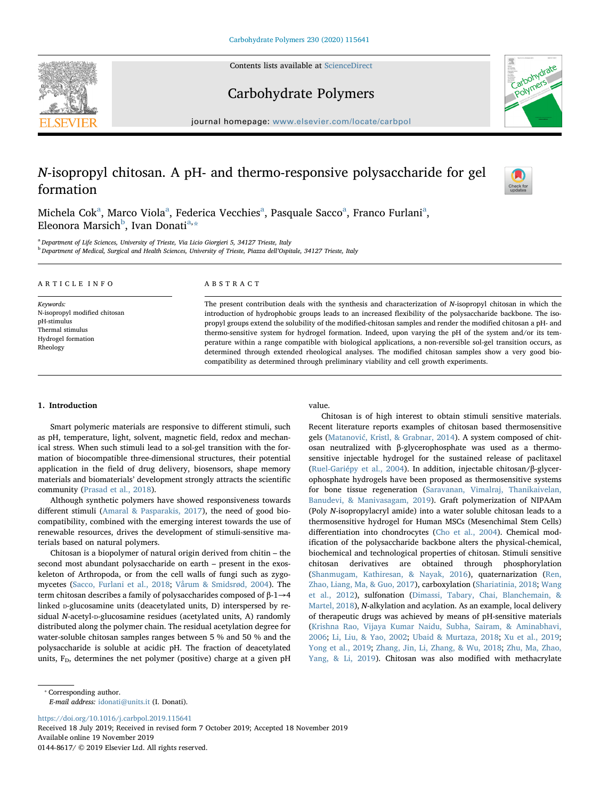Contents lists available at [ScienceDirect](http://www.sciencedirect.com/science/journal/01448617)





Carbohydrate Polymers

journal homepage: [www.elsevier.com/locate/carbpol](https://www.elsevier.com/locate/carbpol)

# N-isopropyl chitosan. A pH- and thermo-responsive polysaccharide for gel formation

 $\frac{N}{2}$ 

Michel[a](#page-0-0) Cok<sup>a</sup>, Marco Viola<sup>a</sup>, Federica Vecchies<sup>a</sup>, Pasquale Sacco<sup>a</sup>, Franco Furlani<sup>a</sup>, Eleonora Marsich<sup>[b](#page-0-1)</sup>, Ivan Donati<sup>[a,](#page-0-0)</sup>[\\*](#page-0-2)

<span id="page-0-1"></span><span id="page-0-0"></span><sup>a</sup> Department of Life Sciences, University of Trieste, Via Licio Giorgieri 5, 34127 Trieste, Italy <sup>b</sup> Department of Medical, Surgical and Health Sciences, University of Trieste, Piazza dell'Ospitale, 34127 Trieste, Italy

| ARTICLE INFO                                                                                                    | ABSTRACT                                                                                                                                                                                                                                                                                                                                                                                                                                                     |
|-----------------------------------------------------------------------------------------------------------------|--------------------------------------------------------------------------------------------------------------------------------------------------------------------------------------------------------------------------------------------------------------------------------------------------------------------------------------------------------------------------------------------------------------------------------------------------------------|
| Keywords:<br>N-isopropyl modified chitosan<br>pH-stimulus<br>Thermal stimulus<br>Hydrogel formation<br>Rheology | The present contribution deals with the synthesis and characterization of N-isopropyl chitosan in which the<br>introduction of hydrophobic groups leads to an increased flexibility of the polysaccharide backbone. The iso-<br>propyl groups extend the solubility of the modified-chitosan samples and render the modified chitosan a pH- and<br>thermo-sensitive system for hydrogel formation. Indeed, upon varying the pH of the system and/or its tem- |
|                                                                                                                 | perature within a range compatible with biological applications, a non-reversible sol-gel transition occurs, as<br>determined through extended rheological analyses. The modified chitosan samples show a very good bio-                                                                                                                                                                                                                                     |

# 1. Introduction

Smart polymeric materials are responsive to different stimuli, such as pH, temperature, light, solvent, magnetic field, redox and mechanical stress. When such stimuli lead to a sol-gel transition with the formation of biocompatible three-dimensional structures, their potential application in the field of drug delivery, biosensors, shape memory materials and biomaterials' development strongly attracts the scientific community [\(Prasad et al., 2018](#page-6-0)).

Although synthetic polymers have showed responsiveness towards different stimuli ([Amaral & Pasparakis, 2017\)](#page-6-1), the need of good biocompatibility, combined with the emerging interest towards the use of renewable resources, drives the development of stimuli-sensitive materials based on natural polymers.

Chitosan is a biopolymer of natural origin derived from chitin – the second most abundant polysaccharide on earth – present in the exoskeleton of Arthropoda, or from the cell walls of fungi such as zygomycetes [\(Sacco, Furlani et al., 2018;](#page-6-2) [Vårum & Smidsrød, 2004\)](#page-6-3). The term chitosan describes a family of polysaccharides composed of β-1→4 linked D-glucosamine units (deacetylated units, D) interspersed by residual N-acetyl-D-glucosamine residues (acetylated units, A) randomly distributed along the polymer chain. The residual acetylation degree for water-soluble chitosan samples ranges between 5 % and 50 % and the polysaccharide is soluble at acidic pH. The fraction of deacetylated units,  $F<sub>D</sub>$ , determines the net polymer (positive) charge at a given pH value.

compatibility as determined through preliminary viability and cell growth experiments.

Chitosan is of high interest to obtain stimuli sensitive materials. Recent literature reports examples of chitosan based thermosensitive gels (Matanović[, Kristl, & Grabnar, 2014\)](#page-6-4). A system composed of chitosan neutralized with β-glycerophosphate was used as a thermosensitive injectable hydrogel for the sustained release of paclitaxel ([Ruel-Gariépy et al., 2004](#page-6-5)). In addition, injectable chitosan/β-glycerophosphate hydrogels have been proposed as thermosensitive systems for bone tissue regeneration ([Saravanan, Vimalraj, Thanikaivelan,](#page-6-6) [Banudevi, & Manivasagam, 2019\)](#page-6-6). Graft polymerization of NIPAAm (Poly N-isopropylacryl amide) into a water soluble chitosan leads to a thermosensitive hydrogel for Human MSCs (Mesenchimal Stem Cells) differentiation into chondrocytes ([Cho et al., 2004\)](#page-6-7). Chemical modification of the polysaccharide backbone alters the physical-chemical, biochemical and technological properties of chitosan. Stimuli sensitive chitosan derivatives are obtained through phosphorylation ([Shanmugam, Kathiresan, & Nayak, 2016\)](#page-6-8), quaternarization ([Ren,](#page-6-9) [Zhao, Liang, Ma, & Guo, 2017\)](#page-6-9), carboxylation [\(Shariatinia, 2018](#page-6-10); [Wang](#page-6-11) [et al., 2012\)](#page-6-11), sulfonation [\(Dimassi, Tabary, Chai, Blanchemain, &](#page-6-12) [Martel, 2018\)](#page-6-12), N-alkylation and acylation. As an example, local delivery of therapeutic drugs was achieved by means of pH-sensitive materials ([Krishna Rao, Vijaya Kumar Naidu, Subha, Sairam, & Aminabhavi,](#page-6-13) [2006;](#page-6-13) [Li, Liu, & Yao, 2002](#page-6-14); [Ubaid & Murtaza, 2018](#page-6-15); [Xu et al., 2019](#page-6-16); [Yong et al., 2019](#page-7-0); [Zhang, Jin, Li, Zhang, & Wu, 2018](#page-7-1); [Zhu, Ma, Zhao,](#page-7-2) [Yang, & Li, 2019\)](#page-7-2). Chitosan was also modified with methacrylate

E-mail address: [idonati@units.it](mailto:idonati@units.it) (I. Donati).

<https://doi.org/10.1016/j.carbpol.2019.115641>

Received 18 July 2019; Received in revised form 7 October 2019; Accepted 18 November 2019 Available online 19 November 2019 0144-8617/ © 2019 Elsevier Ltd. All rights reserved.

<span id="page-0-2"></span><sup>⁎</sup> Corresponding author.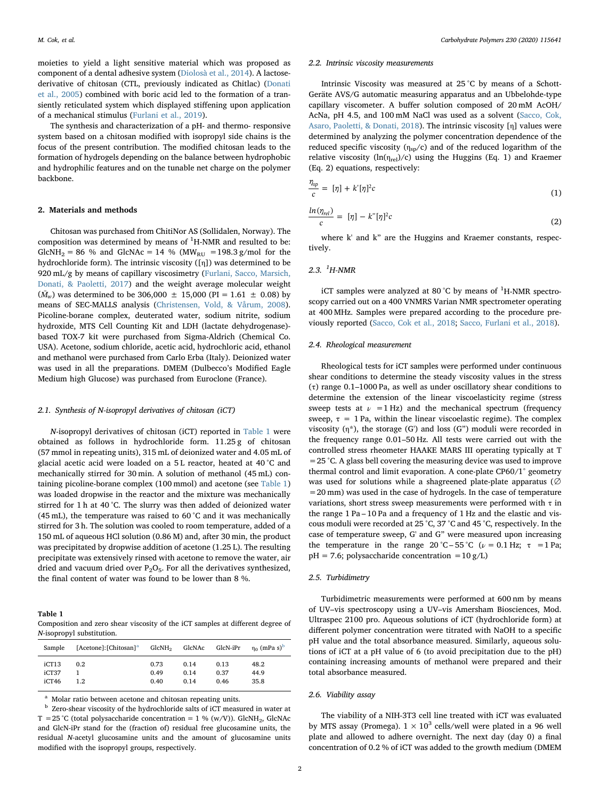moieties to yield a light sensitive material which was proposed as component of a dental adhesive system ([Diolosà et al., 2014](#page-6-17)). A lactosederivative of chitosan (CTL, previously indicated as Chitlac) [\(Donati](#page-6-18) [et al., 2005\)](#page-6-18) combined with boric acid led to the formation of a transiently reticulated system which displayed stiffening upon application of a mechanical stimulus ([Furlani et al., 2019\)](#page-6-19).

The synthesis and characterization of a pH- and thermo- responsive system based on a chitosan modified with isopropyl side chains is the focus of the present contribution. The modified chitosan leads to the formation of hydrogels depending on the balance between hydrophobic and hydrophilic features and on the tunable net charge on the polymer backbone.

## 2. Materials and methods

Chitosan was purchased from ChitiNor AS (Sollidalen, Norway). The composition was determined by means of  ${}^{1}$ H-NMR and resulted to be: GlcNH<sub>2</sub> = 86 % and GlcNAc = 14 % (MW<sub>RU</sub> = 198.3 g/mol for the hydrochloride form). The intrinsic viscosity ([η]) was determined to be 920 mL/g by means of capillary viscosimetry [\(Furlani, Sacco, Marsich,](#page-6-20) [Donati, & Paoletti, 2017\)](#page-6-20) and the weight average molecular weight  $(\bar{M}_w)$  was determined to be 306,000  $\pm$  15,000 (PI = 1.61  $\pm$  0.08) by means of SEC-MALLS analysis ([Christensen, Vold, & Vårum, 2008](#page-6-21)). Picoline-borane complex, deuterated water, sodium nitrite, sodium hydroxide, MTS Cell Counting Kit and LDH (lactate dehydrogenase) based TOX-7 kit were purchased from Sigma-Aldrich (Chemical Co. USA). Acetone, sodium chloride, acetic acid, hydrochloric acid, ethanol and methanol were purchased from Carlo Erba (Italy). Deionized water was used in all the preparations. DMEM (Dulbecco's Modified Eagle Medium high Glucose) was purchased from Euroclone (France).

### 2.1. Synthesis of N-isopropyl derivatives of chitosan (iCT)

N-isopropyl derivatives of chitosan (iCT) reported in [Table 1](#page-1-0) were obtained as follows in hydrochloride form. 11.25 g of chitosan (57 mmol in repeating units), 315 mL of deionized water and 4.05 mL of glacial acetic acid were loaded on a 5 L reactor, heated at 40 °C and mechanically stirred for 30 min. A solution of methanol (45 mL) containing picoline-borane complex (100 mmol) and acetone (see [Table 1\)](#page-1-0) was loaded dropwise in the reactor and the mixture was mechanically stirred for 1 h at 40 °C. The slurry was then added of deionized water (45 mL), the temperature was raised to 60 °C and it was mechanically stirred for 3 h. The solution was cooled to room temperature, added of a 150 mL of aqueous HCl solution (0.86 M) and, after 30 min, the product was precipitated by dropwise addition of acetone (1.25 L). The resulting precipitate was extensively rinsed with acetone to remove the water, air dried and vacuum dried over  $P_2O_5$ . For all the derivatives synthesized, the final content of water was found to be lower than 8 %.

<span id="page-1-0"></span>Table 1

Composition and zero shear viscosity of the iCT samples at different degree of N-isopropyl substitution.

| Sample                  | [Acetone]: [Chitosan] <sup>a</sup> | GlcNH <sub>2</sub>   | GlcNAc               | GlcN-iPr             | $\eta_0$ (mPa s) <sup>b</sup> |
|-------------------------|------------------------------------|----------------------|----------------------|----------------------|-------------------------------|
| iCT13<br>iCT37<br>iCT46 | 0.2<br>1.2                         | 0.73<br>0.49<br>0.40 | 0.14<br>0.14<br>0.14 | 0.13<br>0.37<br>0.46 | 48.2<br>44.9<br>35.8          |

<span id="page-1-1"></span>Molar ratio between acetone and chitosan repeating units.

<span id="page-1-2"></span><sup>b</sup> Zero-shear viscosity of the hydrochloride salts of iCT measured in water at T = 25 °C (total polysaccharide concentration = 1 % (w/V)). GlcNH<sub>2</sub>, GlcNAc and GlcN-iPr stand for the (fraction of) residual free glucosamine units, the residual N-acetyl glucosamine units and the amount of glucosamine units modified with the isopropyl groups, respectively.

#### 2.2. Intrinsic viscosity measurements

Intrinsic Viscosity was measured at 25 °C by means of a Schott-Geräte AVS/G automatic measuring apparatus and an Ubbelohde-type capillary viscometer. A buffer solution composed of 20 mM AcOH/ AcNa, pH 4.5, and 100 mM NaCl was used as a solvent [\(Sacco, Cok,](#page-6-22) [Asaro, Paoletti, & Donati, 2018](#page-6-22)). The intrinsic viscosity [η] values were determined by analyzing the polymer concentration dependence of the reduced specific viscosity ( $\eta_{sp}/c$ ) and of the reduced logarithm of the relative viscosity  $(ln(n_{rel})/c)$  using the Huggins (Eq. 1) and Kraemer (Eq. 2) equations, respectively:

$$
\frac{\eta_{sp}}{c} = [\eta] + k'[\eta]^2 c \tag{1}
$$

$$
\frac{\ln(\eta_{rel})}{c} = [\eta] - k^{\prime\prime}[\eta]^2 c \tag{2}
$$

where k' and k" are the Huggins and Kraemer constants, respectively.

# 2.3.  ${}^{1}H$ -NMR

iCT samples were analyzed at 80  $^{\circ}$ C by means of <sup>1</sup>H-NMR spectroscopy carried out on a 400 VNMRS Varian NMR spectrometer operating at 400 MHz. Samples were prepared according to the procedure previously reported [\(Sacco, Cok et al., 2018](#page-6-22); [Sacco, Furlani et al., 2018\)](#page-6-2).

#### 2.4. Rheological measurement

Rheological tests for iCT samples were performed under continuous shear conditions to determine the steady viscosity values in the stress (τ) range 0.1–1000 Pa, as well as under oscillatory shear conditions to determine the extension of the linear viscoelasticity regime (stress sweep tests at  $\nu$  =1 Hz) and the mechanical spectrum (frequency sweep,  $\tau = 1$  Pa, within the linear viscoelastic regime). The complex viscosity (η\*), the storage (G') and loss (G") moduli were recorded in the frequency range 0.01–50 Hz. All tests were carried out with the controlled stress rheometer HAAKE MARS III operating typically at T  $=$  25 °C. A glass bell covering the measuring device was used to improve thermal control and limit evaporation. A cone-plate CP60/1° geometry was used for solutions while a shagreened plate-plate apparatus (∅  $=20$  mm) was used in the case of hydrogels. In the case of temperature variations, short stress sweep measurements were performed with  $\tau$  in the range 1 Pa – 10 Pa and a frequency of 1 Hz and the elastic and viscous moduli were recorded at 25 °C, 37 °C and 45 °C, respectively. In the case of temperature sweep, G' and G" were measured upon increasing the temperature in the range 20 °C – 55 °C ( $\nu$  = 0.1 Hz;  $\tau$  = 1 Pa;  $pH = 7.6$ ; polysaccharide concentration = 10 g/L)

# 2.5. Turbidimetry

Turbidimetric measurements were performed at 600 nm by means of UV–vis spectroscopy using a UV–vis Amersham Biosciences, Mod. Ultraspec 2100 pro. Aqueous solutions of iCT (hydrochloride form) at different polymer concentration were titrated with NaOH to a specific pH value and the total absorbance measured. Similarly, aqueous solutions of iCT at a pH value of 6 (to avoid precipitation due to the pH) containing increasing amounts of methanol were prepared and their total absorbance measured.

#### 2.6. Viability assay

The viability of a NIH-3T3 cell line treated with iCT was evaluated by MTS assay (Promega).  $1 \times 10^3$  cells/well were plated in a 96 well plate and allowed to adhere overnight. The next day (day 0) a final concentration of 0.2 % of iCT was added to the growth medium (DMEM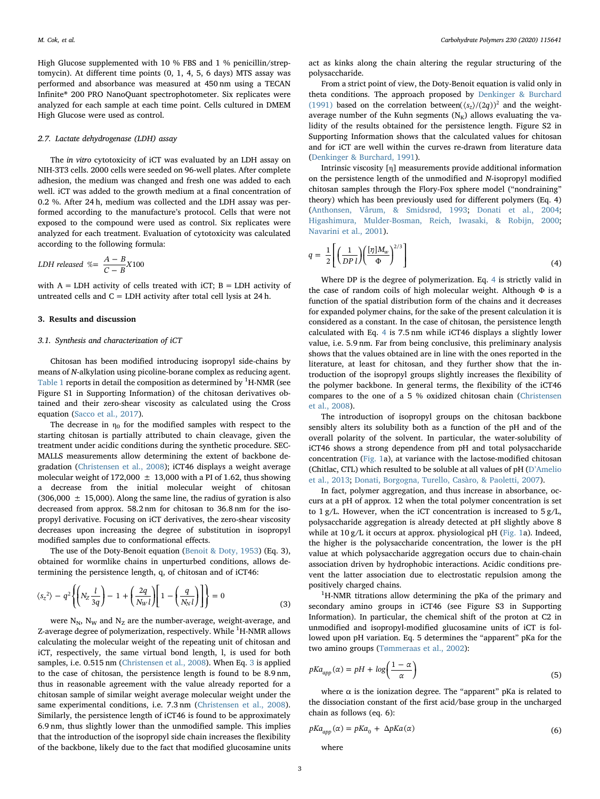High Glucose supplemented with 10 % FBS and 1 % penicillin/streptomycin). At different time points (0, 1, 4, 5, 6 days) MTS assay was performed and absorbance was measured at 450 nm using a TECAN Infinite® 200 PRO NanoQuant spectrophotometer. Six replicates were analyzed for each sample at each time point. Cells cultured in DMEM High Glucose were used as control.

## 2.7. Lactate dehydrogenase (LDH) assay

The in vitro cytotoxicity of iCT was evaluated by an LDH assay on NIH-3T3 cells. 2000 cells were seeded on 96-well plates. After complete adhesion, the medium was changed and fresh one was added to each well. iCT was added to the growth medium at a final concentration of 0.2 %. After 24 h, medium was collected and the LDH assay was performed according to the manufacture's protocol. Cells that were not exposed to the compound were used as control. Six replicates were analyzed for each treatment. Evaluation of cytotoxicity was calculated according to the following formula:

$$
LDH \ released \ \% = \frac{A-B}{C-B}X100
$$

with  $A = LDH$  activity of cells treated with iCT;  $B = LDH$  activity of untreated cells and  $C = LDH$  activity after total cell lysis at 24 h.

# <span id="page-2-0"></span>3. Results and discussion

## 3.1. Synthesis and characterization of iCT

Chitosan has been modified introducing isopropyl side-chains by means of N-alkylation using picoline-borane complex as reducing agent. [Table 1](#page-1-0) reports in detail the composition as determined by  $^1\mathrm{H}\text{-}\mathrm{NMR}$  (see Figure S1 in Supporting Information) of the chitosan derivatives obtained and their zero-shear viscosity as calculated using the Cross equation [\(Sacco et al., 2017](#page-6-23)).

The decrease in  $\eta_0$  for the modified samples with respect to the starting chitosan is partially attributed to chain cleavage, given the treatment under acidic conditions during the synthetic procedure. SEC-MALLS measurements allow determining the extent of backbone degradation ([Christensen et al., 2008](#page-6-21)); iCT46 displays a weight average molecular weight of 172,000  $\pm$  13,000 with a PI of 1.62, thus showing a decrease from the initial molecular weight of chitosan  $(306,000 \pm 15,000)$ . Along the same line, the radius of gyration is also decreased from approx. 58.2 nm for chitosan to 36.8 nm for the isopropyl derivative. Focusing on iCT derivatives, the zero-shear viscosity decreases upon increasing the degree of substitution in isopropyl modified samples due to conformational effects.

The use of the Doty-Benoit equation ([Benoit & Doty, 1953\)](#page-6-24) (Eq. 3), obtained for wormlike chains in unperturbed conditions, allows determining the persistence length, q, of chitosan and of iCT46:

$$
\langle s_z^2 \rangle - q^2 \left\{ \left( N_Z \frac{l}{3q} \right) - 1 + \left( \frac{2q}{N_W l} \right) \left[ 1 - \left( \frac{q}{N_N l} \right) \right] \right\} = 0
$$
\n(3)

were  $N_N$ ,  $N_W$  and  $N_Z$  are the number-average, weight-average, and Z-average degree of polymerization, respectively. While <sup>1</sup>H-NMR allows calculating the molecular weight of the repeating unit of chitosan and iCT, respectively, the same virtual bond length, l, is used for both samples, i.e. 0.515 nm [\(Christensen et al., 2008](#page-6-21)). When Eq. [3](#page-2-0) is applied to the case of chitosan, the persistence length is found to be 8.9 nm, thus in reasonable agreement with the value already reported for a chitosan sample of similar weight average molecular weight under the same experimental conditions, i.e. 7.3 nm [\(Christensen et al., 2008](#page-6-21)). Similarly, the persistence length of iCT46 is found to be approximately 6.9 nm, thus slightly lower than the unmodified sample. This implies that the introduction of the isopropyl side chain increases the flexibility of the backbone, likely due to the fact that modified glucosamine units act as kinks along the chain altering the regular structuring of the polysaccharide.

From a strict point of view, the Doty-Benoit equation is valid only in theta conditions. The approach proposed by [Denkinger & Burchard](#page-6-25) [\(1991\)](#page-6-25) based on the correlation between( $\langle s_z \rangle / (2q)$ )<sup>2</sup> and the weightaverage number of the Kuhn segments  $(N_K)$  allows evaluating the validity of the results obtained for the persistence length. Figure S2 in Supporting Information shows that the calculated values for chitosan and for iCT are well within the curves re-drawn from literature data ([Denkinger & Burchard, 1991](#page-6-25)).

Intrinsic viscosity [η] measurements provide additional information on the persistence length of the unmodified and N-isopropyl modified chitosan samples through the Flory-Fox sphere model ("nondraining" theory) which has been previously used for different polymers (Eq. 4) ([Anthonsen, Vårum, & Smidsrød, 1993](#page-6-26); [Donati et al., 2004](#page-6-27); [Higashimura, Mulder-Bosman, Reich, Iwasaki, & Robijn, 2000](#page-6-28); [Navarini et al., 2001\)](#page-6-29).

$$
q = \frac{1}{2} \left[ \left( \frac{1}{DP \, l} \right) \left( \frac{[\eta] M_w}{\Phi} \right)^{2/3} \right] \tag{4}
$$

Where DP is the degree of polymerization. Eq. [4](#page-5-0) is strictly valid in the case of random coils of high molecular weight. Although Φ is a function of the spatial distribution form of the chains and it decreases for expanded polymer chains, for the sake of the present calculation it is considered as a constant. In the case of chitosan, the persistence length calculated with Eq. [4](#page-5-0) is 7.5 nm while iCT46 displays a slightly lower value, i.e. 5.9 nm. Far from being conclusive, this preliminary analysis shows that the values obtained are in line with the ones reported in the literature, at least for chitosan, and they further show that the introduction of the isopropyl groups slightly increases the flexibility of the polymer backbone. In general terms, the flexibility of the iCT46 compares to the one of a 5 % oxidized chitosan chain ([Christensen](#page-6-21) [et al., 2008](#page-6-21)).

The introduction of isopropyl groups on the chitosan backbone sensibly alters its solubility both as a function of the pH and of the overall polarity of the solvent. In particular, the water-solubility of iCT46 shows a strong dependence from pH and total polysaccharide concentration ([Fig. 1](#page-3-0)a), at variance with the lactose-modified chitosan (Chitlac, CTL) which resulted to be soluble at all values of pH (D'[Amelio](#page-6-30) [et al., 2013](#page-6-30); [Donati, Borgogna, Turello, Casàro, & Paoletti, 2007](#page-6-31)).

In fact, polymer aggregation, and thus increase in absorbance, occurs at a pH of approx. 12 when the total polymer concentration is set to  $1 g/L$ . However, when the iCT concentration is increased to  $5 g/L$ , polysaccharide aggregation is already detected at pH slightly above 8 while at  $10 g/L$  it occurs at approx. physiological pH ([Fig. 1a](#page-3-0)). Indeed, the higher is the polysaccharide concentration, the lower is the pH value at which polysaccharide aggregation occurs due to chain-chain association driven by hydrophobic interactions. Acidic conditions prevent the latter association due to electrostatic repulsion among the positively charged chains.

<sup>1</sup>H-NMR titrations allow determining the pKa of the primary and secondary amino groups in iCT46 (see Figure S3 in Supporting Information). In particular, the chemical shift of the proton at C2 in unmodified and isopropyl-modified glucosamine units of iCT is followed upon pH variation. Eq. 5 determines the "apparent" pKa for the two amino groups ([Tømmeraas et al., 2002](#page-6-32)):

$$
pKa_{app}(\alpha) = pH + \log\left(\frac{1-\alpha}{\alpha}\right) \tag{5}
$$

where  $\alpha$  is the ionization degree. The "apparent" pKa is related to the dissociation constant of the first acid/base group in the uncharged chain as follows (eq. 6):

$$
pKa_{app}(\alpha) = pKa_0 + \Delta pKa(\alpha) \tag{6}
$$

where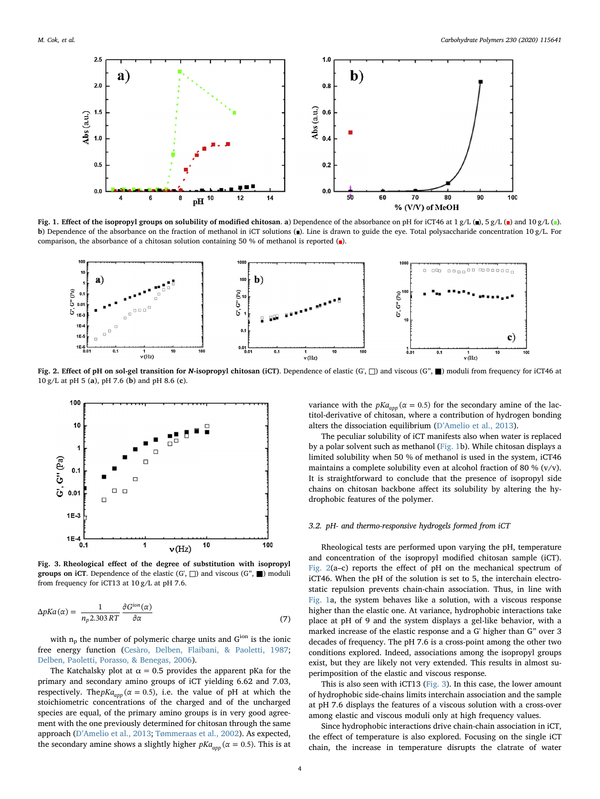<span id="page-3-0"></span>

Fig. 1. Effect of the isopropyl groups on solubility of modified chitosan. a) Dependence of the absorbance on pH for iCT46 at 1 g/L (a), 5 g/L (a) and 10 g/L (a). b) Dependence of the absorbance on the fraction of methanol in iCT solutions ( $\blacksquare$ ). Line is drawn to guide the eye. Total polysaccharide concentration 10 g/L. For comparison, the absorbance of a chitosan solution containing 50 % of methanol is reported  $(\bullet)$ .

<span id="page-3-1"></span>

Fig. 2. Effect of pH on sol-gel transition for N-isopropyl chitosan (iCT). Dependence of elastic (G', □) and viscous (G", ■) moduli from frequency for iCT46 at 10 g/L at pH 5 (a), pH 7.6 (b) and pH 8.6 (c).

<span id="page-3-2"></span>

Fig. 3. Rheological effect of the degree of substitution with isopropyl groups on iCT. Dependence of the elastic  $(G, \Box)$  and viscous  $(G', \blacksquare)$  moduli from frequency for iCT13 at 10 g/L at pH 7.6.

$$
\Delta p K a(\alpha) = \frac{1}{n_p 2.303 RT} \frac{\partial G^{ion}(\alpha)}{\partial \alpha} \tag{7}
$$

with  $n_p$  the number of polymeric charge units and  $G^{ion}$  is the ionic free energy function [\(Cesàro, Delben, Flaibani, & Paoletti, 1987](#page-6-33); [Delben, Paoletti, Porasso, & Benegas, 2006](#page-6-34)).

The Katchalsky plot at  $\alpha = 0.5$  provides the apparent pKa for the primary and secondary amino groups of iCT yielding 6.62 and 7.03, respectively. The  $pKa_{app}$  ( $\alpha = 0.5$ ), i.e. the value of pH at which the stoichiometric concentrations of the charged and of the uncharged species are equal, of the primary amino groups is in very good agreement with the one previously determined for chitosan through the same approach (D'[Amelio et al., 2013](#page-6-30); [Tømmeraas et al., 2002](#page-6-32)). As expected, the secondary amine shows a slightly higher  $pKa_{\text{ann}}(\alpha = 0.5)$ . This is at

variance with the  $pKa_{app}(\alpha = 0.5)$  for the secondary amine of the lactitol-derivative of chitosan, where a contribution of hydrogen bonding alters the dissociation equilibrium (D'[Amelio et al., 2013\)](#page-6-30).

The peculiar solubility of iCT manifests also when water is replaced by a polar solvent such as methanol [\(Fig. 1b](#page-3-0)). While chitosan displays a limited solubility when 50 % of methanol is used in the system, iCT46 maintains a complete solubility even at alcohol fraction of 80 % (v/v). It is straightforward to conclude that the presence of isopropyl side chains on chitosan backbone affect its solubility by altering the hydrophobic features of the polymer.

## 3.2. pH- and thermo-responsive hydrogels formed from iCT

Rheological tests are performed upon varying the pH, temperature and concentration of the isopropyl modified chitosan sample (iCT). [Fig. 2](#page-3-1)(a–c) reports the effect of pH on the mechanical spectrum of iCT46. When the pH of the solution is set to 5, the interchain electrostatic repulsion prevents chain-chain association. Thus, in line with [Fig. 1a](#page-3-0), the system behaves like a solution, with a viscous response higher than the elastic one. At variance, hydrophobic interactions take place at pH of 9 and the system displays a gel-like behavior, with a marked increase of the elastic response and a G' higher than G" over 3 decades of frequency. The pH 7.6 is a cross-point among the other two conditions explored. Indeed, associations among the isopropyl groups exist, but they are likely not very extended. This results in almost superimposition of the elastic and viscous response.

This is also seen with iCT13 [\(Fig. 3](#page-3-2)). In this case, the lower amount of hydrophobic side-chains limits interchain association and the sample at pH 7.6 displays the features of a viscous solution with a cross-over among elastic and viscous moduli only at high frequency values.

Since hydrophobic interactions drive chain-chain association in iCT, the effect of temperature is also explored. Focusing on the single iCT chain, the increase in temperature disrupts the clatrate of water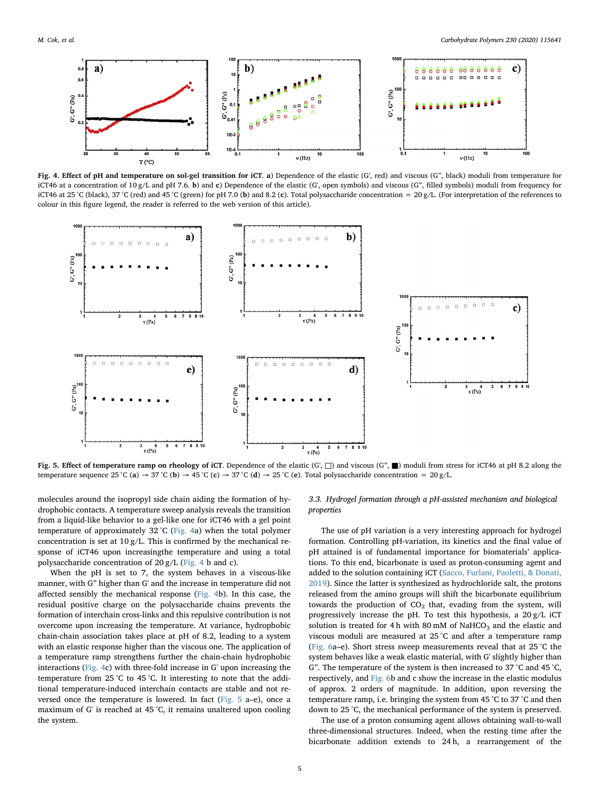<span id="page-4-0"></span>

Fig. 4. Effect of pH and temperature on sol-gel transition for iCT. a) Dependence of the elastic (G', red) and viscous (G", black) moduli from temperature for iCT46 at a concentration of 10 g/L and pH 7.6. b) and c) Dependence of the elastic (G', open symbols) and viscous (G", filled symbols) moduli from frequency for iCT46 at 25 °C (black), 37 °C (red) and 45 °C (green) for pH 7.0 (b) and 8.2 (c). Total polysaccharide concentration = 20 g/L. (For interpretation of the references to colour in this figure legend, the reader is referred to the web version of this article).

<span id="page-4-1"></span>

Fig. 5. Effect of temperature ramp on rheology of iCT. Dependence of the elastic (G', □) and viscous (G", ■) moduli from stress for iCT46 at pH 8.2 along the temperature sequence 25 °C (a)  $\rightarrow$  37 °C (b)  $\rightarrow$  45 °C (c)  $\rightarrow$  37 °C (d)  $\rightarrow$  25 °C (e). Total polysaccharide concentration = 20 g/L.

molecules around the isopropyl side chain aiding the formation of hydrophobic contacts. A temperature sweep analysis reveals the transition from a liquid-like behavior to a gel-like one for iCT46 with a gel point temperature of approximately 32 °C [\(Fig. 4](#page-4-0)a) when the total polymer concentration is set at  $10 g/L$ . This is confirmed by the mechanical response of iCT46 upon increasingthe temperature and using a total polysaccharide concentration of 20 g/L [\(Fig. 4](#page-4-0) b and c).

When the pH is set to 7, the system behaves in a viscous-like manner, with G" higher than G' and the increase in temperature did not affected sensibly the mechanical response ([Fig. 4b](#page-4-0)). In this case, the residual positive charge on the polysaccharide chains prevents the formation of interchain cross-links and this repulsive contribution is not overcome upon increasing the temperature. At variance, hydrophobic chain-chain association takes place at pH of 8.2, leading to a system with an elastic response higher than the viscous one. The application of a temperature ramp strengthens further the chain-chain hydrophobic interactions ([Fig. 4c](#page-4-0)) with three-fold increase in G' upon increasing the temperature from 25 °C to 45 °C. It interesting to note that the additional temperature-induced interchain contacts are stable and not reversed once the temperature is lowered. In fact [\(Fig. 5](#page-4-1) a–e), once a maximum of G' is reached at 45 °C, it remains unaltered upon cooling the system.

3.3. Hydrogel formation through a pH-assisted mechanism and biological properties

The use of pH variation is a very interesting approach for hydrogel formation. Controlling pH-variation, its kinetics and the final value of pH attained is of fundamental importance for biomaterials' applications. To this end, bicarbonate is used as proton-consuming agent and added to the solution containing iCT [\(Sacco, Furlani, Paoletti, & Donati,](#page-6-35) [2019\)](#page-6-35). Since the latter is synthesized as hydrochloride salt, the protons released from the amino groups will shift the bicarbonate equilibrium towards the production of  $CO<sub>2</sub>$  that, evading from the system, will progressively increase the pH. To test this hypothesis, a 20 g/L iCT solution is treated for 4 h with 80 mM of NaHCO<sub>3</sub> and the elastic and viscous moduli are measured at 25 °C and after a temperature ramp ([Fig. 6](#page-5-1)a–e). Short stress sweep measurements reveal that at 25 °C the system behaves like a weak elastic material, with G' slightly higher than G". The temperature of the system is then increased to 37 °C and 45 °C, respectively, and [Fig. 6](#page-5-1)b and c show the increase in the elastic modulus of approx. 2 orders of magnitude. In addition, upon reversing the temperature ramp, i.e. bringing the system from 45 °C to 37 °C and then down to 25 °C, the mechanical performance of the system is preserved.

The use of a proton consuming agent allows obtaining wall-to-wall three-dimensional structures. Indeed, when the resting time after the bicarbonate addition extends to 24 h, a rearrangement of the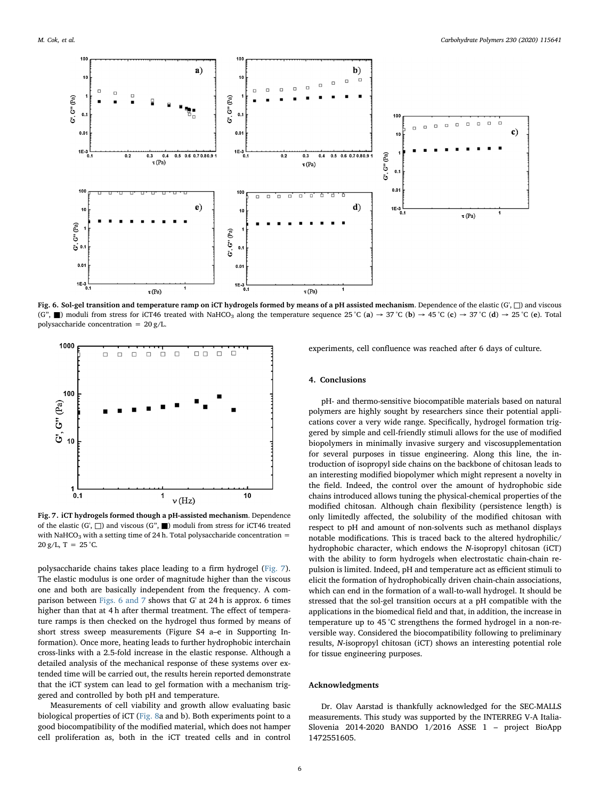<span id="page-5-1"></span>

Fig. 6. Sol-gel transition and temperature ramp on iCT hydrogels formed by means of a pH assisted mechanism. Dependence of the elastic (G', □) and viscous (G",  $\blacksquare$ ) moduli from stress for iCT46 treated with NaHCO<sub>3</sub> along the temperature sequence 25 °C (a)  $\rightarrow$  37 °C (b)  $\rightarrow$  45 °C (c)  $\rightarrow$  37 °C (d)  $\rightarrow$  25 °C (e). Total polysaccharide concentration = 20 g/L.

<span id="page-5-2"></span>

Fig. 7. iCT hydrogels formed though a pH-assisted mechanism. Dependence of the elastic (G',  $\Box$ ) and viscous (G",  $\Box$ ) moduli from stress for iCT46 treated with NaHCO<sub>3</sub> with a setting time of 24 h. Total polysaccharide concentration =  $20 g/L$ , T = 25 °C.

polysaccharide chains takes place leading to a firm hydrogel ([Fig. 7](#page-5-2)). The elastic modulus is one order of magnitude higher than the viscous one and both are basically independent from the frequency. A comparison between [Figs. 6 and 7](#page-5-1) shows that G' at 24 h is approx. 6 times higher than that at 4 h after thermal treatment. The effect of temperature ramps is then checked on the hydrogel thus formed by means of short stress sweep measurements (Figure S4 a–e in Supporting Information). Once more, heating leads to further hydrophobic interchain cross-links with a 2.5-fold increase in the elastic response. Although a detailed analysis of the mechanical response of these systems over extended time will be carried out, the results herein reported demonstrate that the iCT system can lead to gel formation with a mechanism triggered and controlled by both pH and temperature.

Measurements of cell viability and growth allow evaluating basic biological properties of iCT [\(Fig. 8](#page-6-36)a and b). Both experiments point to a good biocompatibility of the modified material, which does not hamper cell proliferation as, both in the iCT treated cells and in control

experiments, cell confluence was reached after 6 days of culture.

### <span id="page-5-0"></span>4. Conclusions

pH- and thermo-sensitive biocompatible materials based on natural polymers are highly sought by researchers since their potential applications cover a very wide range. Specifically, hydrogel formation triggered by simple and cell-friendly stimuli allows for the use of modified biopolymers in minimally invasive surgery and viscosupplementation for several purposes in tissue engineering. Along this line, the introduction of isopropyl side chains on the backbone of chitosan leads to an interesting modified biopolymer which might represent a novelty in the field. Indeed, the control over the amount of hydrophobic side chains introduced allows tuning the physical-chemical properties of the modified chitosan. Although chain flexibility (persistence length) is only limitedly affected, the solubility of the modified chitosan with respect to pH and amount of non-solvents such as methanol displays notable modifications. This is traced back to the altered hydrophilic/ hydrophobic character, which endows the N-isopropyl chitosan (iCT) with the ability to form hydrogels when electrostatic chain-chain repulsion is limited. Indeed, pH and temperature act as efficient stimuli to elicit the formation of hydrophobically driven chain-chain associations, which can end in the formation of a wall-to-wall hydrogel. It should be stressed that the sol-gel transition occurs at a pH compatible with the applications in the biomedical field and that, in addition, the increase in temperature up to 45 °C strengthens the formed hydrogel in a non-reversible way. Considered the biocompatibility following to preliminary results, N-isopropyl chitosan (iCT) shows an interesting potential role for tissue engineering purposes.

# Acknowledgments

Dr. Olav Aarstad is thankfully acknowledged for the SEC-MALLS measurements. This study was supported by the INTERREG V-A Italia-Slovenia 2014-2020 BANDO 1/2016 ASSE 1 – project BioApp 1472551605.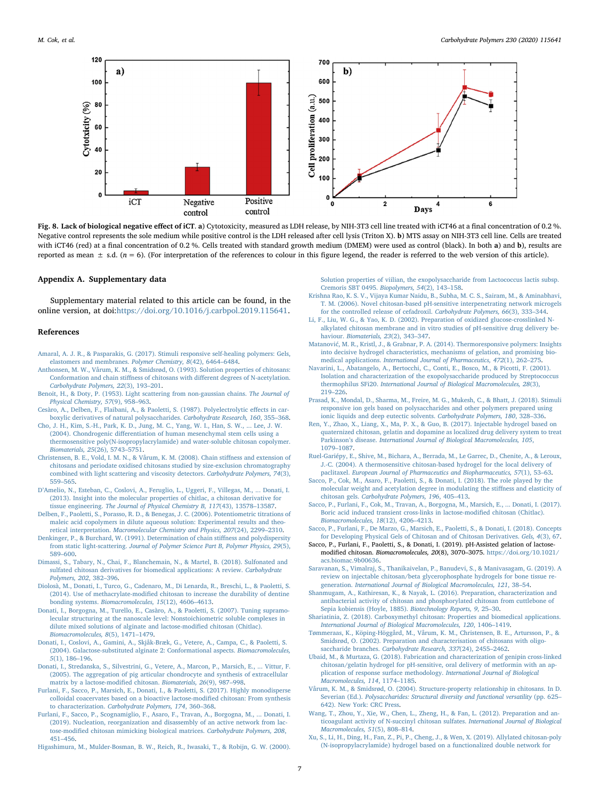<span id="page-6-36"></span>

Fig. 8. Lack of biological negative effect of iCT. a) Cytotoxicity, measured as LDH release, by NIH-3T3 cell line treated with iCT46 at a final concentration of 0.2 %. Negative control represents the sole medium while positive control is the LDH released after cell lysis (Triton X). b) MTS assay on NIH-3T3 cell line. Cells are treated with iCT46 (red) at a final concentration of 0.2 %. Cells treated with standard growth medium (DMEM) were used as control (black). In both a) and b), results are reported as mean  $\pm$  s.d. ( $n = 6$ ). (For interpretation of the references to colour in this figure legend, the reader is referred to the web version of this article).

#### Appendix A. Supplementary data

Supplementary material related to this article can be found, in the online version, at doi:[https://doi.org/10.1016/j.carbpol.2019.115641.](https://doi.org/10.1016/j.carbpol.2019.115641)

#### References

- <span id="page-6-1"></span>[Amaral, A. J. R., & Pasparakis, G. \(2017\). Stimuli responsive self-healing polymers: Gels,](http://refhub.elsevier.com/S0144-8617(19)31309-8/sbref0005) [elastomers and membranes.](http://refhub.elsevier.com/S0144-8617(19)31309-8/sbref0005) Polymer Chemistry, 8(42), 6464–6484.
- <span id="page-6-26"></span>[Anthonsen, M. W., Vårum, K. M., & Smidsrød, O. \(1993\). Solution properties of chitosans:](http://refhub.elsevier.com/S0144-8617(19)31309-8/sbref0010) Conformation and chain stiffness of chitosans with diff[erent degrees of N-acetylation.](http://refhub.elsevier.com/S0144-8617(19)31309-8/sbref0010) [Carbohydrate Polymers, 22](http://refhub.elsevier.com/S0144-8617(19)31309-8/sbref0010)(3), 193–201.
- <span id="page-6-24"></span>[Benoit, H., & Doty, P. \(1953\). Light scattering from non-gaussian chains.](http://refhub.elsevier.com/S0144-8617(19)31309-8/sbref0015) The Journal of [Physical Chemistry, 57](http://refhub.elsevier.com/S0144-8617(19)31309-8/sbref0015)(9), 958–963.
- <span id="page-6-33"></span>[Cesàro, A., Delben, F., Flaibani, A., & Paoletti, S. \(1987\). Polyelectrolytic e](http://refhub.elsevier.com/S0144-8617(19)31309-8/sbref0020)ffects in car[boxylic derivatives of natural polysaccharides.](http://refhub.elsevier.com/S0144-8617(19)31309-8/sbref0020) Carbohydrate Research, 160, 355–368.
- <span id="page-6-7"></span>[Cho, J. H., Kim, S.-H., Park, K. D., Jung, M. C., Yang, W. I., Han, S. W., ... Lee, J. W.](http://refhub.elsevier.com/S0144-8617(19)31309-8/sbref0025) (2004). Chondrogenic diff[erentiation of human mesenchymal stem cells using a](http://refhub.elsevier.com/S0144-8617(19)31309-8/sbref0025) [thermosensitive poly\(N-isopropylacrylamide\) and water-soluble chitosan copolymer.](http://refhub.elsevier.com/S0144-8617(19)31309-8/sbref0025) [Biomaterials, 25](http://refhub.elsevier.com/S0144-8617(19)31309-8/sbref0025)(26), 5743–5751.
- <span id="page-6-21"></span>[Christensen, B. E., Vold, I. M. N., & Vårum, K. M. \(2008\). Chain sti](http://refhub.elsevier.com/S0144-8617(19)31309-8/sbref0030)ffness and extension of [chitosans and periodate oxidised chitosans studied by size-exclusion chromatography](http://refhub.elsevier.com/S0144-8617(19)31309-8/sbref0030) [combined with light scattering and viscosity detectors.](http://refhub.elsevier.com/S0144-8617(19)31309-8/sbref0030) Carbohydrate Polymers, 74(3), 559–[565](http://refhub.elsevier.com/S0144-8617(19)31309-8/sbref0030).
- <span id="page-6-30"></span>D'[Amelio, N., Esteban, C., Coslovi, A., Feruglio, L., Uggeri, F., Villegas, M., ... Donati, I.](http://refhub.elsevier.com/S0144-8617(19)31309-8/sbref0035) [\(2013\). Insight into the molecular properties of chitlac, a chitosan derivative for](http://refhub.elsevier.com/S0144-8617(19)31309-8/sbref0035) tissue engineering. [The Journal of Physical Chemistry B, 117](http://refhub.elsevier.com/S0144-8617(19)31309-8/sbref0035)(43), 13578–13587.
- <span id="page-6-34"></span>[Delben, F., Paoletti, S., Porasso, R. D., & Benegas, J. C. \(2006\). Potentiometric titrations of](http://refhub.elsevier.com/S0144-8617(19)31309-8/sbref0040) [maleic acid copolymers in dilute aqueous solution: Experimental results and theo](http://refhub.elsevier.com/S0144-8617(19)31309-8/sbref0040)retical interpretation. [Macromolecular Chemistry and Physics, 207](http://refhub.elsevier.com/S0144-8617(19)31309-8/sbref0040)(24), 2299–2310.
- <span id="page-6-25"></span>[Denkinger, P., & Burchard, W. \(1991\). Determination of chain sti](http://refhub.elsevier.com/S0144-8617(19)31309-8/sbref0045)ffness and polydispersity from static light-scattering. [Journal of Polymer Science Part B, Polymer Physics, 29](http://refhub.elsevier.com/S0144-8617(19)31309-8/sbref0045)(5), 589–[600](http://refhub.elsevier.com/S0144-8617(19)31309-8/sbref0045).
- <span id="page-6-12"></span>[Dimassi, S., Tabary, N., Chai, F., Blanchemain, N., & Martel, B. \(2018\). Sulfonated and](http://refhub.elsevier.com/S0144-8617(19)31309-8/sbref0050) [sulfated chitosan derivatives for biomedical applications: A review.](http://refhub.elsevier.com/S0144-8617(19)31309-8/sbref0050) Carbohydrate [Polymers, 202](http://refhub.elsevier.com/S0144-8617(19)31309-8/sbref0050), 382–396.
- <span id="page-6-17"></span>[Diolosà, M., Donati, I., Turco, G., Cadenaro, M., Di Lenarda, R., Breschi, L., & Paoletti, S.](http://refhub.elsevier.com/S0144-8617(19)31309-8/sbref0055) (2014). Use of methacrylate-modifi[ed chitosan to increase the durability of dentine](http://refhub.elsevier.com/S0144-8617(19)31309-8/sbref0055) bonding systems. [Biomacromolecules, 15](http://refhub.elsevier.com/S0144-8617(19)31309-8/sbref0055)(12), 4606–4613.
- <span id="page-6-31"></span>Donati, [I., Borgogna, M., Turello, E., Casàro, A., & Paoletti, S. \(2007\). Tuning supramo](http://refhub.elsevier.com/S0144-8617(19)31309-8/sbref0060)[lecular structuring at the nanoscale level: Nonstoichiometric soluble complexes in](http://refhub.elsevier.com/S0144-8617(19)31309-8/sbref0060) [dilute mixed solutions of alginate and lactose-modi](http://refhub.elsevier.com/S0144-8617(19)31309-8/sbref0060)fied chitosan (Chitlac). [Biomacromolecules, 8](http://refhub.elsevier.com/S0144-8617(19)31309-8/sbref0060)(5), 1471–1479.
- <span id="page-6-27"></span>[Donati, I., Coslovi, A., Gamini, A., Skjåk-Bræk, G., Vetere, A., Campa, C., & Paoletti, S.](http://refhub.elsevier.com/S0144-8617(19)31309-8/sbref0065) [\(2004\). Galactose-substituted alginate 2: Conformational aspects.](http://refhub.elsevier.com/S0144-8617(19)31309-8/sbref0065) Biomacromolecules, 5[\(1\), 186](http://refhub.elsevier.com/S0144-8617(19)31309-8/sbref0065)–196.
- <span id="page-6-18"></span>[Donati, I., Stredanska, S., Silvestrini, G., Vetere, A., Marcon, P., Marsich, E., ... Vittur, F.](http://refhub.elsevier.com/S0144-8617(19)31309-8/sbref0070) [\(2005\). The aggregation of pig articular chondrocyte and synthesis of extracellular](http://refhub.elsevier.com/S0144-8617(19)31309-8/sbref0070) [matrix by a lactose-modi](http://refhub.elsevier.com/S0144-8617(19)31309-8/sbref0070)fied chitosan. Biomaterials, 26(9), 987–998.
- <span id="page-6-20"></span>[Furlani, F., Sacco, P., Marsich, E., Donati, I., & Paoletti, S. \(2017\). Highly monodisperse](http://refhub.elsevier.com/S0144-8617(19)31309-8/sbref0075) [colloidal coacervates based on a bioactive lactose-modi](http://refhub.elsevier.com/S0144-8617(19)31309-8/sbref0075)fied chitosan: From synthesis to characterization. [Carbohydrate Polymers, 174](http://refhub.elsevier.com/S0144-8617(19)31309-8/sbref0075), 360–368.
- <span id="page-6-19"></span>[Furlani, F., Sacco, P., Scognamiglio, F., Asaro, F., Travan, A., Borgogna, M., ... Donati, I.](http://refhub.elsevier.com/S0144-8617(19)31309-8/sbref0080) [\(2019\). Nucleation, reorganization and disassembly of an active network from lac](http://refhub.elsevier.com/S0144-8617(19)31309-8/sbref0080)tose-modifi[ed chitosan mimicking biological matrices.](http://refhub.elsevier.com/S0144-8617(19)31309-8/sbref0080) Carbohydrate Polymers, 208, 451–[456](http://refhub.elsevier.com/S0144-8617(19)31309-8/sbref0080).
- <span id="page-6-28"></span>[Higashimura, M., Mulder-Bosman, B. W., Reich, R., Iwasaki, T., & Robijn, G. W. \(2000\).](http://refhub.elsevier.com/S0144-8617(19)31309-8/sbref0085)

[Solution properties of viilian, the exopolysaccharide from Lactococcus lactis subsp.](http://refhub.elsevier.com/S0144-8617(19)31309-8/sbref0085) [Cremoris SBT 0495.](http://refhub.elsevier.com/S0144-8617(19)31309-8/sbref0085) Biopolymers, 54(2), 143–158.

- <span id="page-6-13"></span>[Krishna Rao, K. S. V., Vijaya Kumar Naidu, B., Subha, M. C. S., Sairam, M., & Aminabhavi,](http://refhub.elsevier.com/S0144-8617(19)31309-8/sbref0090) [T. M. \(2006\). Novel chitosan-based pH-sensitive interpenetrating network microgels](http://refhub.elsevier.com/S0144-8617(19)31309-8/sbref0090) [for the controlled release of cefadroxil.](http://refhub.elsevier.com/S0144-8617(19)31309-8/sbref0090) Carbohydrate Polymers, 66(3), 333–344.
- <span id="page-6-14"></span>[Li, F., Liu, W. G., & Yao, K. D. \(2002\). Preparation of oxidized glucose-crosslinked N](http://refhub.elsevier.com/S0144-8617(19)31309-8/sbref0095)[alkylated chitosan membrane and in vitro studies of pH-sensitive drug delivery be](http://refhub.elsevier.com/S0144-8617(19)31309-8/sbref0095)haviour. [Biomaterials, 23](http://refhub.elsevier.com/S0144-8617(19)31309-8/sbref0095)(2), 343–347.
- <span id="page-6-4"></span>Matanović[, M. R., Kristl, J., & Grabnar, P. A. \(2014\). Thermoresponsive polymers: Insights](http://refhub.elsevier.com/S0144-8617(19)31309-8/sbref0100) [into decisive hydrogel characteristics, mechanisms of gelation, and promising bio](http://refhub.elsevier.com/S0144-8617(19)31309-8/sbref0100)medical applications. [International Journal of Pharmaceutics, 472](http://refhub.elsevier.com/S0144-8617(19)31309-8/sbref0100)(1), 262–275.
- <span id="page-6-29"></span>[Navarini, L., Abatangelo, A., Bertocchi, C., Conti, E., Bosco, M., & Picotti, F. \(2001\).](http://refhub.elsevier.com/S0144-8617(19)31309-8/sbref0105) [Isolation and characterization of the exopolysaccharide produced by Streptococcus](http://refhub.elsevier.com/S0144-8617(19)31309-8/sbref0105) thermophilus SFi20. [International Journal of Biological Macromolecules, 28](http://refhub.elsevier.com/S0144-8617(19)31309-8/sbref0105)(3), 219–[226](http://refhub.elsevier.com/S0144-8617(19)31309-8/sbref0105).
- <span id="page-6-0"></span>[Prasad, K., Mondal, D., Sharma, M., Freire, M. G., Mukesh, C., & Bhatt, J. \(2018\). Stimuli](http://refhub.elsevier.com/S0144-8617(19)31309-8/sbref0110) [responsive ion gels based on polysaccharides and other polymers prepared using](http://refhub.elsevier.com/S0144-8617(19)31309-8/sbref0110) [ionic liquids and deep eutectic solvents.](http://refhub.elsevier.com/S0144-8617(19)31309-8/sbref0110) Carbohydrate Polymers, 180, 328–336.
- <span id="page-6-9"></span>[Ren, Y., Zhao, X., Liang, X., Ma, P. X., & Guo, B. \(2017\). Injectable hydrogel based on](http://refhub.elsevier.com/S0144-8617(19)31309-8/sbref0115) [quaternized chitosan, gelatin and dopamine as localized drug delivery system to treat](http://refhub.elsevier.com/S0144-8617(19)31309-8/sbref0115) Parkinson's disease. [International Journal of Biological Macromolecules, 105](http://refhub.elsevier.com/S0144-8617(19)31309-8/sbref0115), 1079–[1087](http://refhub.elsevier.com/S0144-8617(19)31309-8/sbref0115).
- <span id="page-6-5"></span>[Ruel-Gariépy, E., Shive, M., Bichara, A., Berrada, M., Le Garrec, D., Chenite, A., & Leroux,](http://refhub.elsevier.com/S0144-8617(19)31309-8/sbref0120) [J.-C. \(2004\). A thermosensitive chitosan-based hydrogel for the local delivery of](http://refhub.elsevier.com/S0144-8617(19)31309-8/sbref0120) paclitaxel. [European Journal of Pharmaceutics and Biopharmaceutics, 57](http://refhub.elsevier.com/S0144-8617(19)31309-8/sbref0120)(1), 53–63.
- <span id="page-6-22"></span>[Sacco, P., Cok, M., Asaro, F., Paoletti, S., & Donati, I. \(2018\). The role played by the](http://refhub.elsevier.com/S0144-8617(19)31309-8/sbref0125) [molecular weight and acetylation degree in modulating the sti](http://refhub.elsevier.com/S0144-8617(19)31309-8/sbref0125)ffness and elasticity of chitosan gels. [Carbohydrate Polymers, 196](http://refhub.elsevier.com/S0144-8617(19)31309-8/sbref0125), 405–413.
- <span id="page-6-23"></span>[Sacco, P., Furlani, F., Cok, M., Travan, A., Borgogna, M., Marsich, E., ... Donati, I. \(2017\).](http://refhub.elsevier.com/S0144-8617(19)31309-8/sbref0130) [Boric acid induced transient cross-links in lactose-modi](http://refhub.elsevier.com/S0144-8617(19)31309-8/sbref0130)fied chitosan (Chitlac). [Biomacromolecules, 18](http://refhub.elsevier.com/S0144-8617(19)31309-8/sbref0130)(12), 4206–4213.
- <span id="page-6-2"></span>[Sacco, P., Furlani, F., De Marzo, G., Marsich, E., Paoletti, S., & Donati, I. \(2018\). Concepts](http://refhub.elsevier.com/S0144-8617(19)31309-8/sbref0135) [for Developing Physical Gels of Chitosan and of Chitosan Derivatives.](http://refhub.elsevier.com/S0144-8617(19)31309-8/sbref0135) Gels, 4(3), 67.
- <span id="page-6-35"></span>Sacco, P., Furlani, F., Paoletti, S., & Donati, I. (2019). pH-Assisted gelation of lactosemodified chitosan. Biomacromolecules, 20(8), 3070–3075. [https://doi.org/10.1021/](https://doi.org/10.1021/acs.biomac.9b00636) [acs.biomac.9b00636.](https://doi.org/10.1021/acs.biomac.9b00636)
- <span id="page-6-6"></span>[Saravanan, S., Vimalraj, S., Thanikaivelan, P., Banudevi, S., & Manivasagam, G. \(2019\). A](http://refhub.elsevier.com/S0144-8617(19)31309-8/sbref0145) [review on injectable chitosan/beta glycerophosphate hydrogels for bone tissue re](http://refhub.elsevier.com/S0144-8617(19)31309-8/sbref0145)generation. [International Journal of Biological Macromolecules, 121](http://refhub.elsevier.com/S0144-8617(19)31309-8/sbref0145), 38–54.
- <span id="page-6-8"></span>[Shanmugam, A., Kathiresan, K., & Nayak, L. \(2016\). Preparation, characterization and](http://refhub.elsevier.com/S0144-8617(19)31309-8/sbref0150) [antibacterial activity of chitosan and phosphorylated chitosan from cuttlebone of](http://refhub.elsevier.com/S0144-8617(19)31309-8/sbref0150) [Sepia kobiensis \(Hoyle, 1885\).](http://refhub.elsevier.com/S0144-8617(19)31309-8/sbref0150) Biotechnology Reports, 9, 25–30.
- <span id="page-6-10"></span>[Shariatinia, Z. \(2018\). Carboxymethyl chitosan: Properties and biomedical applications.](http://refhub.elsevier.com/S0144-8617(19)31309-8/sbref0155) [International Journal of Biological Macromolecules, 120](http://refhub.elsevier.com/S0144-8617(19)31309-8/sbref0155), 1406–1419.
- <span id="page-6-32"></span>[Tømmeraas, K., Köping-Höggård, M., Vårum, K. M., Christensen, B. E., Artursson, P., &](http://refhub.elsevier.com/S0144-8617(19)31309-8/sbref0160) [Smidsrød, O. \(2002\). Preparation and characterisation of chitosans with oligo](http://refhub.elsevier.com/S0144-8617(19)31309-8/sbref0160)saccharide branches. [Carbohydrate Research, 337](http://refhub.elsevier.com/S0144-8617(19)31309-8/sbref0160)(24), 2455–2462.
- <span id="page-6-15"></span>[Ubaid, M., & Murtaza, G. \(2018\). Fabrication and characterization of genipin cross-linked](http://refhub.elsevier.com/S0144-8617(19)31309-8/sbref0165) [chitosan/gelatin hydrogel for pH-sensitive, oral delivery of metformin with an ap](http://refhub.elsevier.com/S0144-8617(19)31309-8/sbref0165)[plication of response surface methodology.](http://refhub.elsevier.com/S0144-8617(19)31309-8/sbref0165) International Journal of Biological [Macromolecules, 114](http://refhub.elsevier.com/S0144-8617(19)31309-8/sbref0165), 1174–1185.
- <span id="page-6-3"></span>[Vårum, K. M., & Smidsrød, O. \(2004\). Structure-property relationship in chitosans. In D.](http://refhub.elsevier.com/S0144-8617(19)31309-8/sbref0170) Severian (Ed.). [Polysaccharides: Structural diversity and functional versatility](http://refhub.elsevier.com/S0144-8617(19)31309-8/sbref0170) (pp. 625– [642\). New York: CRC Press](http://refhub.elsevier.com/S0144-8617(19)31309-8/sbref0170).
- <span id="page-6-11"></span>[Wang, T., Zhou, Y., Xie, W., Chen, L., Zheng, H., & Fan, L. \(2012\). Preparation and an](http://refhub.elsevier.com/S0144-8617(19)31309-8/sbref0175)[ticoagulant activity of N-succinyl chitosan sulfates.](http://refhub.elsevier.com/S0144-8617(19)31309-8/sbref0175) International Journal of Biological [Macromolecules, 51](http://refhub.elsevier.com/S0144-8617(19)31309-8/sbref0175)(5), 808–814.
- <span id="page-6-16"></span>[Xu, S., Li, H., Ding, H., Fan, Z., Pi, P., Cheng, J., & Wen, X. \(2019\). Allylated chitosan-poly](http://refhub.elsevier.com/S0144-8617(19)31309-8/sbref0180) [\(N-isopropylacrylamide\) hydrogel based on a functionalized double network for](http://refhub.elsevier.com/S0144-8617(19)31309-8/sbref0180)